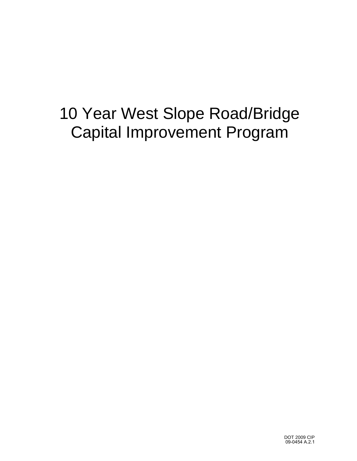# 10 Year West Slope Road/Bridge Capital Improvement Program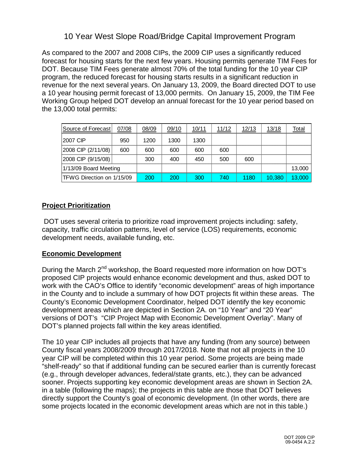## 10 Year West Slope Road/Bridge Capital Improvement Program

As compared to the 2007 and 2008 CIPs, the 2009 CIP uses a significantly reduced forecast for housing starts for the next few years. Housing permits generate TIM Fees for DOT. Because TIM Fees generate almost 70% of the total funding for the 10 year CIP program, the reduced forecast for housing starts results in a significant reduction in revenue for the next several years. On January 13, 2009, the Board directed DOT to use a 10 year housing permit forecast of 13,000 permits. On January 15, 2009, the TIM Fee Working Group helped DOT develop an annual forecast for the 10 year period based on the 13,000 total permits:

| Source of Forecast        | 07/08 | 08/09 | 09/10 | 10/11 | 11/12 | 12/13 | 13/18  | <b>Total</b> |
|---------------------------|-------|-------|-------|-------|-------|-------|--------|--------------|
| 12007 CIP                 | 950   | 1200  | 1300  | 1300  |       |       |        |              |
| 2008 CIP (2/11/08)        | 600   | 600   | 600   | 600   | 600   |       |        |              |
| 2008 CIP (9/15/08)        |       | 300   | 400   | 450   | 500   | 600   |        |              |
| 1/13/09 Board Meeting     |       |       |       |       |       |       |        | 13,000       |
| TFWG Direction on 1/15/09 |       | 200   | 200   | 300   | 740   | 1180  | 10.380 | 13,000       |

#### **Project Prioritization**

 DOT uses several criteria to prioritize road improvement projects including: safety, capacity, traffic circulation patterns, level of service (LOS) requirements, economic development needs, available funding, etc.

#### **Economic Development**

During the March 2<sup>nd</sup> workshop, the Board requested more information on how DOT's proposed CIP projects would enhance economic development and thus, asked DOT to work with the CAO's Office to identify "economic development" areas of high importance in the County and to include a summary of how DOT projects fit within these areas. The County's Economic Development Coordinator, helped DOT identify the key economic development areas which are depicted in Section 2A. on "10 Year" and "20 Year" versions of DOT's "CIP Project Map with Economic Development Overlay". Many of DOT's planned projects fall within the key areas identified.

The 10 year CIP includes all projects that have any funding (from any source) between County fiscal years 2008/2009 through 2017/2018. Note that not all projects in the 10 year CIP will be completed within this 10 year period. Some projects are being made "shelf-ready" so that if additional funding can be secured earlier than is currently forecast (e.g., through developer advances, federal/state grants, etc.), they can be advanced sooner. Projects supporting key economic development areas are shown in Section 2A. in a table (following the maps); the projects in this table are those that DOT believes directly support the County's goal of economic development. (In other words, there are some projects located in the economic development areas which are not in this table.)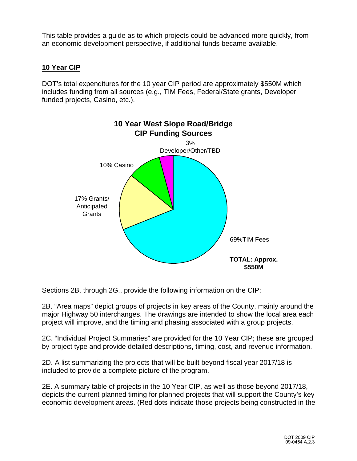This table provides a guide as to which projects could be advanced more quickly, from an economic development perspective, if additional funds became available.

### **10 Year CIP**

DOT's total expenditures for the 10 year CIP period are approximately \$550M which includes funding from all sources (e.g., TIM Fees, Federal/State grants, Developer funded projects, Casino, etc.).



Sections 2B. through 2G., provide the following information on the CIP:

2B. "Area maps" depict groups of projects in key areas of the County, mainly around the major Highway 50 interchanges. The drawings are intended to show the local area each project will improve, and the timing and phasing associated with a group projects.

2C. "Individual Project Summaries" are provided for the 10 Year CIP; these are grouped by project type and provide detailed descriptions, timing, cost, and revenue information.

2D. A list summarizing the projects that will be built beyond fiscal year 2017/18 is included to provide a complete picture of the program.

2E. A summary table of projects in the 10 Year CIP, as well as those beyond 2017/18, depicts the current planned timing for planned projects that will support the County's key economic development areas. (Red dots indicate those projects being constructed in the